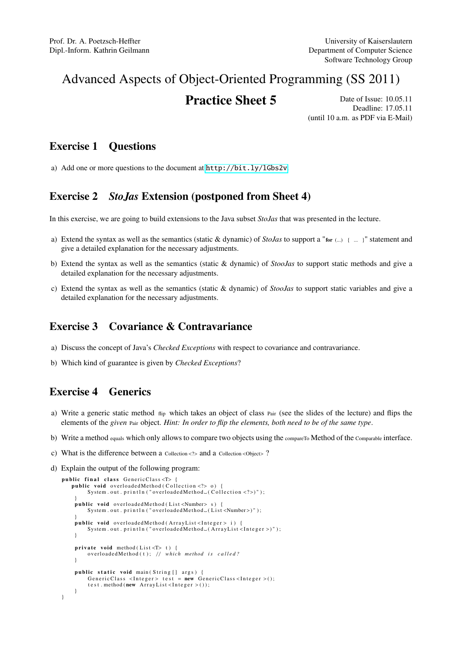# Advanced Aspects of Object-Oriented Programming (SS 2011)

**Practice Sheet 5** Date of Issue: 10.05.11 Deadline: 17.05.11 (until 10 a.m. as PDF via E-Mail)

#### Exercise 1 Questions

a) Add one or more questions to the document at <http://bit.ly/lGbs2v>.

### Exercise 2 *StoJas* Extension (postponed from Sheet 4)

In this exercise, we are going to build extensions to the Java subset *StoJas* that was presented in the lecture.

- a) Extend the syntax as well as the semantics (static & dynamic) of *StoJas* to support a "for (...) { ... }" statement and give a detailed explanation for the necessary adjustments.
- b) Extend the syntax as well as the semantics (static & dynamic) of *StooJas* to support static methods and give a detailed explanation for the necessary adjustments.
- c) Extend the syntax as well as the semantics (static & dynamic) of *StooJas* to support static variables and give a detailed explanation for the necessary adjustments.

## Exercise 3 Covariance & Contravariance

- a) Discuss the concept of Java's *Checked Exceptions* with respect to covariance and contravariance.
- b) Which kind of guarantee is given by *Checked Exceptions*?

### Exercise 4 Generics

- a) Write a generic static method flip which takes an object of class Pair (see the slides of the lecture) and flips the elements of the *given* Pair object. *Hint: In order to flip the elements, both need to be of the same type*.
- b) Write a method equals which only allows to compare two objects using the compareTo Method of the Comparable interface.
- c) What is the difference between a Collection <?> and a Collection <Object>?
- d) Explain the output of the following program:

```
public final class GenericClass <T> {
   public void overloadedMethod (Collection <?> 0) {
        System . out . println ("overloadedMethod (Collection <?>)");
    }<br>public void overloadedMethod(List<Number>s){
        System.out.println("overloadedMethod.(List<Number>)");
    }<br>public void overloadedMethod(ArrayList<Integer> i){
        System.out.println("overloadedMethod.(ArrayList<Integer>)");
    }
    private\ void\ method(List < T> t) {
        overloadedMethod(t); // which method is called?
    }
    public static void main (String [] args) {
        GenericClass <Integer > test = new GenericClass <Integer > ();
        test. method (new ArrayList <Integer > ());
    }
}
```